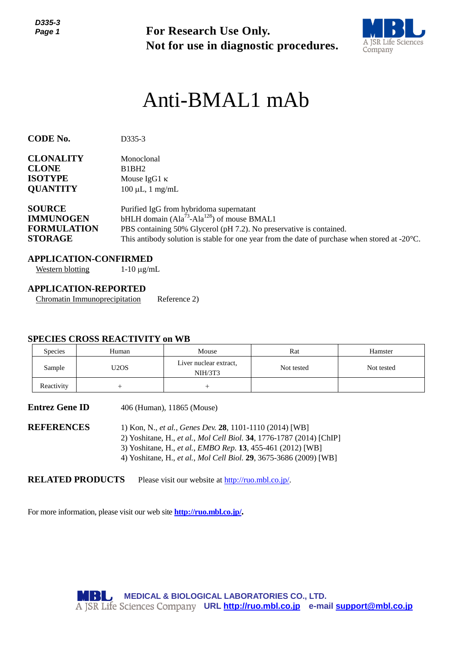*D335-3 Page 1*



# Anti-BMAL1 mAb

| Page 1                                                                                                                                       |                                                                                                                                                                                                                                                                       | <b>For Research Use Only.</b>                                                                                  | Not for use in diagnostic procedures.                                                                                                                                          | A JSR Life Science<br>Company |  |  |
|----------------------------------------------------------------------------------------------------------------------------------------------|-----------------------------------------------------------------------------------------------------------------------------------------------------------------------------------------------------------------------------------------------------------------------|----------------------------------------------------------------------------------------------------------------|--------------------------------------------------------------------------------------------------------------------------------------------------------------------------------|-------------------------------|--|--|
|                                                                                                                                              |                                                                                                                                                                                                                                                                       | Anti-BMAL1 mAb                                                                                                 |                                                                                                                                                                                |                               |  |  |
| <b>CODE No.</b>                                                                                                                              | D335-3                                                                                                                                                                                                                                                                |                                                                                                                |                                                                                                                                                                                |                               |  |  |
| <b>CLONALITY</b><br>Monoclonal<br><b>CLONE</b><br>B1BH2<br><b>ISOTYPE</b><br>Mouse IgG1 $\kappa$<br><b>QUANTITY</b><br>$100 \mu L$ , 1 mg/mL |                                                                                                                                                                                                                                                                       |                                                                                                                |                                                                                                                                                                                |                               |  |  |
| <b>SOURCE</b><br><b>IMMUNOGEN</b><br><b>FORMULATION</b><br><b>STORAGE</b>                                                                    |                                                                                                                                                                                                                                                                       | Purified IgG from hybridoma supernatant<br>bHLH domain (Ala <sup>73</sup> -Ala <sup>128</sup> ) of mouse BMAL1 | PBS containing 50% Glycerol (pH 7.2). No preservative is contained.<br>This antibody solution is stable for one year from the date of purchase when stored at $-20^{\circ}$ C. |                               |  |  |
| <b>Western blotting</b>                                                                                                                      | <b>APPLICATION-CONFIRMED</b><br>$1-10 \mu g/mL$                                                                                                                                                                                                                       |                                                                                                                |                                                                                                                                                                                |                               |  |  |
| <b>APPLICATION-REPORTED</b>                                                                                                                  | <b>Chromatin Immunoprecipitation</b><br><b>SPECIES CROSS REACTIVITY on WB</b>                                                                                                                                                                                         | Reference 2)                                                                                                   |                                                                                                                                                                                |                               |  |  |
| Species                                                                                                                                      | Human                                                                                                                                                                                                                                                                 | Mouse                                                                                                          | Rat                                                                                                                                                                            | Hamster                       |  |  |
| Sample                                                                                                                                       | U <sub>2</sub> O <sub>S</sub>                                                                                                                                                                                                                                         | Liver nuclear extract,<br>NIH/3T3                                                                              | Not tested                                                                                                                                                                     | Not tested                    |  |  |
| Reactivity                                                                                                                                   | $^{+}$                                                                                                                                                                                                                                                                | $^{+}$                                                                                                         |                                                                                                                                                                                |                               |  |  |
| <b>Entrez Gene ID</b>                                                                                                                        |                                                                                                                                                                                                                                                                       | 406 (Human), 11865 (Mouse)                                                                                     |                                                                                                                                                                                |                               |  |  |
| <b>REFERENCES</b>                                                                                                                            | 1) Kon, N., et al., Genes Dev. 28, 1101-1110 (2014) [WB]<br>2) Yoshitane, H., et al., Mol Cell Biol. 34, 1776-1787 (2014) [ChIP]<br>3) Yoshitane, H., et al., EMBO Rep. 13, 455-461 (2012) [WB]<br>4) Yoshitane, H., et al., Mol Cell Biol. 29, 3675-3686 (2009) [WB] |                                                                                                                |                                                                                                                                                                                |                               |  |  |
| <b>RELATED PRODUCTS</b>                                                                                                                      |                                                                                                                                                                                                                                                                       | Please visit our website at http://ruo.mbl.co.jp/.                                                             |                                                                                                                                                                                |                               |  |  |
|                                                                                                                                              |                                                                                                                                                                                                                                                                       | For more information, please visit our web site <b>http://ruo.mbl.co.jp/</b> .                                 |                                                                                                                                                                                |                               |  |  |
|                                                                                                                                              |                                                                                                                                                                                                                                                                       |                                                                                                                |                                                                                                                                                                                |                               |  |  |
|                                                                                                                                              |                                                                                                                                                                                                                                                                       |                                                                                                                |                                                                                                                                                                                |                               |  |  |
|                                                                                                                                              |                                                                                                                                                                                                                                                                       | MEDICAL & BIOLOGICAL LABORATORIES CO., LTD.                                                                    | A JSR Life Sciences Company URL http://ruo.mbl.co.jp e-mail support@mbl.co.jp                                                                                                  |                               |  |  |

#### **APPLICATION-CONFIRMED**

#### **APPLICATION-REPORTED**

#### **SPECIES CROSS REACTIVITY on WB**

| <b>Species</b> | Human | Mouse                             | Rat        | Hamster    |
|----------------|-------|-----------------------------------|------------|------------|
| Sample         | U2OS  | Liver nuclear extract,<br>NIH/3T3 | Not tested | Not tested |
| Reactivity     |       |                                   |            |            |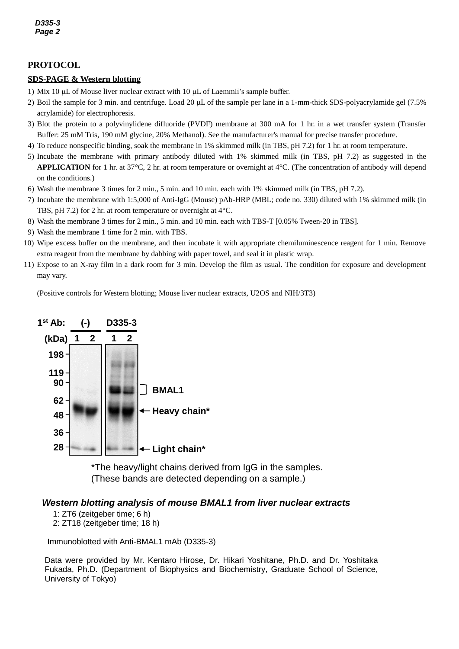### **PROTOCOL**

#### *5* **SDS-PAGE & Western blotting**

- 1) Mix 10  $\mu$ L of Mouse liver nuclear extract with 10  $\mu$ L of Laemmli's sample buffer.
- 2) Boil the sample for 3 min. and centrifuge. Load 20  $\mu$ L of the sample per lane in a 1-mm-thick SDS-polyacrylamide gel (7.5%) acrylamide) for electrophoresis.
- 3) Blot the protein to a polyvinylidene difluoride (PVDF) membrane at 300 mA for 1 hr. in a wet transfer system (Transfer Buffer: 25 mM Tris, 190 mM glycine, 20% Methanol). See the manufacturer's manual for precise transfer procedure.
- 4) To reduce nonspecific binding, soak the membrane in 1% skimmed milk (in TBS, pH 7.2) for 1 hr. at room temperature.
- 5) Incubate the membrane with primary antibody diluted with 1% skimmed milk (in TBS, pH 7.2) as suggested in the **APPLICATION** for 1 hr. at 37°C, 2 hr. at room temperature or overnight at 4°C. (The concentration of antibody will depend on the conditions.)
- 6) Wash the membrane 3 times for 2 min., 5 min. and 10 min. each with 1% skimmed milk (in TBS, pH 7.2).
- 7) Incubate the membrane with 1:5,000 of Anti-IgG (Mouse) pAb-HRP (MBL; code no. 330) diluted with 1% skimmed milk (in TBS, pH 7.2) for 2 hr. at room temperature or overnight at 4°C.
- 8) Wash the membrane 3 times for 2 min., 5 min. and 10 min. each with TBS-T [0.05% Tween-20 in TBS].
- 9) Wash the membrane 1 time for 2 min. with TBS.
- 10) Wipe excess buffer on the membrane, and then incubate it with appropriate chemiluminescence reagent for 1 min. Remove extra reagent from the membrane by dabbing with paper towel, and seal it in plastic wrap.
- 11) Expose to an X-ray film in a dark room for 3 min. Develop the film as usual. The condition for exposure and development may vary.

(Positive controls for Western blotting; Mouse liver nuclear extracts, U2OS and NIH/3T3)



\*The heavy/light chains derived from IgG in the samples. (These bands are detected depending on a sample.)

#### *Western blotting analysis of mouse BMAL1 from liver nuclear extracts*

1: ZT6 (zeitgeber time; 6 h) 2: ZT18 (zeitgeber time; 18 h)

Immunoblotted with Anti-BMAL1 mAb (D335-3)

Data were provided by Mr. Kentaro Hirose, Dr. Hikari Yoshitane, Ph.D. and Dr. Yoshitaka Fukada, Ph.D. (Department of Biophysics and Biochemistry, Graduate School of Science, University of Tokyo)